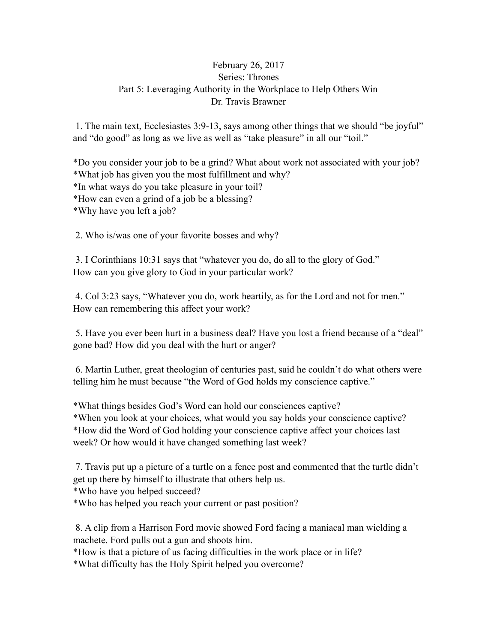## February 26, 2017 Series: Thrones Part 5: Leveraging Authority in the Workplace to Help Others Win Dr. Travis Brawner

 1. The main text, Ecclesiastes 3:9-13, says among other things that we should "be joyful" and "do good" as long as we live as well as "take pleasure" in all our "toil."

\*Do you consider your job to be a grind? What about work not associated with your job? \*What job has given you the most fulfillment and why? \*In what ways do you take pleasure in your toil? \*How can even a grind of a job be a blessing? \*Why have you left a job?

2. Who is/was one of your favorite bosses and why?

 3. I Corinthians 10:31 says that "whatever you do, do all to the glory of God." How can you give glory to God in your particular work?

 4. Col 3:23 says, "Whatever you do, work heartily, as for the Lord and not for men." How can remembering this affect your work?

 5. Have you ever been hurt in a business deal? Have you lost a friend because of a "deal" gone bad? How did you deal with the hurt or anger?

 6. Martin Luther, great theologian of centuries past, said he couldn't do what others were telling him he must because "the Word of God holds my conscience captive."

\*What things besides God's Word can hold our consciences captive? \*When you look at your choices, what would you say holds your conscience captive? \*How did the Word of God holding your conscience captive affect your choices last week? Or how would it have changed something last week?

 7. Travis put up a picture of a turtle on a fence post and commented that the turtle didn't get up there by himself to illustrate that others help us.

\*Who have you helped succeed?

\*Who has helped you reach your current or past position?

 8. A clip from a Harrison Ford movie showed Ford facing a maniacal man wielding a machete. Ford pulls out a gun and shoots him.

\*How is that a picture of us facing difficulties in the work place or in life?

\*What difficulty has the Holy Spirit helped you overcome?